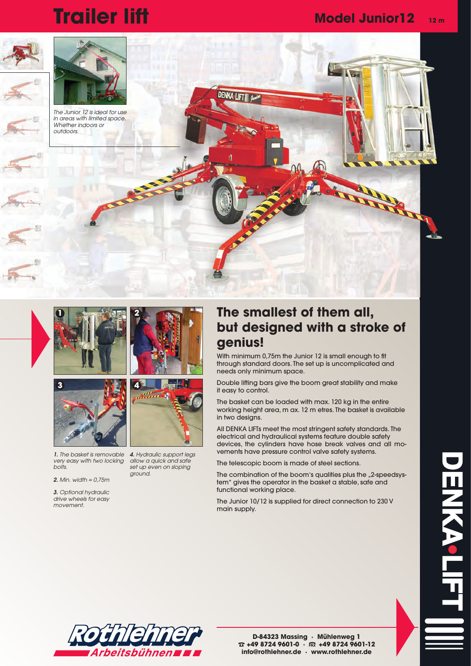## **Trailer lift Model Junior12 12 m**









*1. The basket is removable very easy with two locking bolts.*

*2. Min. width = 0,75m*

*3. Optional hydraulic drive wheels for easy movement.* 



*4. Hydraulic support legs allow a quick and safe set up even on sloping ground.*

## **The smallest of them all, but designed with a stroke of genius!**

With minimum 0,75m the Junior 12 is small enough to fit through standard doors. The set up is uncomplicated and needs only minimum space.

Double lifting bars give the boom great stability and make it easy to control.

The basket can be loaded with max. 120 kg in the entire working height area, m ax. 12 m etres. The basket is available in two designs.

All DENKA LIFTs meet the most stringent safety standards. The electrical and hydraulical systems feature double safety devices, the cylinders have hose break valves and all movements have pressure control valve safety systems.

The telescopic boom is made of steel sections.

The combination of the boom's qualities plus the "2-speedsystem" gives the operator in the basket a stable, safe and functional working place.

The Junior 10/12 is supplied for direct connection to 230 V main supply.



**D-84323 Massing · Mühlenweg 1** % **+49 8724 9601-0 · +49 8724 9601-12 info@rothlehner.de · www.rothlehner.de**